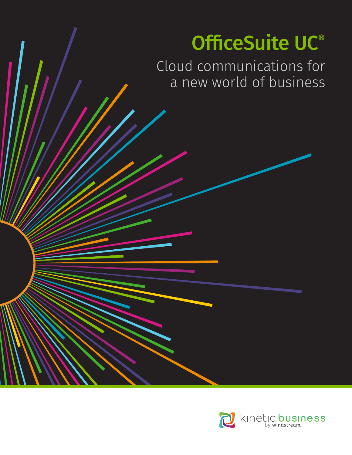# OfficeSuite UC®

Cloud communications for a new world of business

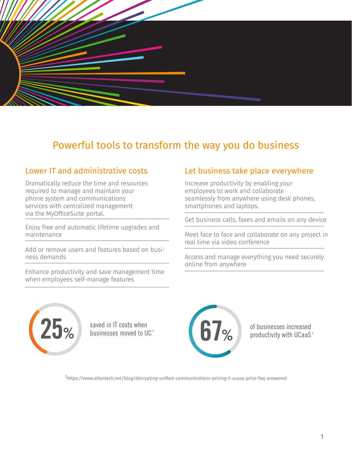

## Powerful tools to transform the way you do business

Dramatically reduce the time and resources required to manage and maintain your phone system and communications services with centralized management via the MyOfficeSuite portal. services with centralized management<br>via the MyOfficeSuite portal.<br>Enjoy free and automatic lifetime upgrades and

maintenance

Add or remove users and features based on business demands

Enhance productivity and save management time when employees self-manage features

#### Lower IT and administrative costs Let business take place everywhere

Increase productivity by enabling your employees to work and collaborate seamlessly from anywhere using desk phones, smartphones and laptops.

Get business calls, faxes and emails on any device

Meet face to face and collaborate on any project in real time via video conference

Access and manage everything you need securely online from anywhere 25%



saved in IT costs when businesses moved to UC



of businesses increased productivity with UCaaS <sup>1</sup> <sup>1</sup>

1https://www.atlantech.net/blog/decrypting-unified-communications-pricing-5-ucaas-price-faq-answered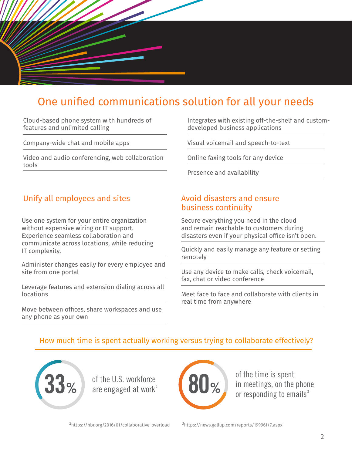

# One unified communications solution for all your needs

Cloud-based phone system with hundreds of features and unlimited calling

Company-wide chat and mobile apps

Video and audio conferencing, web collaboration tools

### Unify all employees and sites Theorem Avoid disasters and ensure

Use one system for your entire organization without expensive wiring or IT support. Experience seamless collaboration and communicate across locations, while reducing IT complexity.

Administer changes easily for every employee and site from one portal

Leverage features and extension dialing across all locations

Move between offices, share workspaces and use any phone as your own

Integrates with existing off-the-shelf and customdeveloped business applications

Visual voicemail and speech-to-text

Online faxing tools for any device

Presence and availability

# business continuity

Secure everything you need in the cloud and remain reachable to customers during disasters even if your physical office isn't open.

Quickly and easily manage any feature or setting remotely

Use any device to make calls, check voicemail, fax, chat or video conference

Meet face to face and collaborate with clients in real time from anywhere

#### How much time is spent actually working versus trying to collaborate effectively?



of the U.S. workforce are engaged at work 2



of the time is spent in meetings, on the phone or responding to emails $^3$ 

2https://hbr.org/2016/01/collaborative-overload 3https://news.gallup.com/reports/199961/7.aspx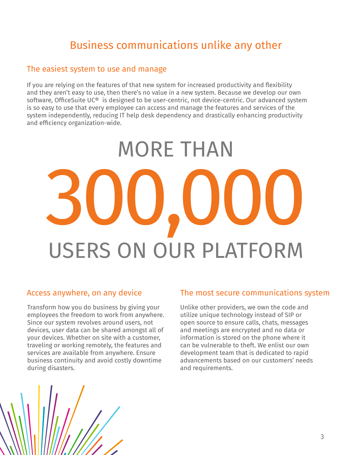# Business communications unlike any other

#### The easiest system to use and manage

If you are relying on the features of that new system for increased productivity and flexibility and they aren't easy to use, then there's no value in a new system. Because we develop our own software, OfficeSuite UC® is designed to be user-centric, not device-centric. Our advanced system is so easy to use that every employee can access and manage the features and services of the system independently, reducing IT help desk dependency and drastically enhancing productivity and efficiency organization-wide.

# MORE THAN 300,000 USERS ON OUR PLATFORM

Transform how you do business by giving your employees the freedom to work from anywhere. Since our system revolves around users, not devices, user data can be shared amongst all of your devices. Whether on site with a customer, traveling or working remotely, the features and services are available from anywhere. Ensure business continuity and avoid costly downtime during disasters.

#### Access anywhere, on any device The most secure communications system

Unlike other providers, we own the code and utilize unique technology instead of SIP or open source to ensure calls, chats, messages and meetings are encrypted and no data or information is stored on the phone where it can be vulnerable to theft. We enlist our own development team that is dedicated to rapid advancements based on our customers' needs and requirements.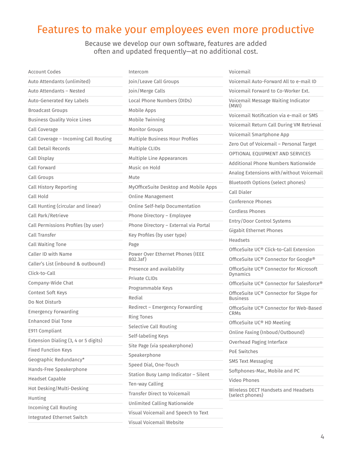# Features to make your employees even more productive

Because we develop our own software, features are added often and updated frequently—at no additional cost.

| Account Codes                         | Intercom                              | Voicemail                                                           |
|---------------------------------------|---------------------------------------|---------------------------------------------------------------------|
| Auto Attendants (unlimited)           | Join/Leave Call Groups                | Voicemail Auto-Forward All to e-mail ID                             |
| Auto Attendants - Nested              | Join/Merge Calls                      | Voicemail Forward to Co-Worker Ext.                                 |
| Auto-Generated Key Labels             | Local Phone Numbers (DIDs)            | Voicemail Message Waiting Indicator<br>(MWI)                        |
| <b>Broadcast Groups</b>               | Mobile Apps                           | Voicemail Notification via e-mail or SMS                            |
| <b>Business Quality Voice Lines</b>   | Mobile Twinning                       |                                                                     |
| Call Coverage                         | <b>Monitor Groups</b>                 | Voicemail Return Call During VM Retrieval                           |
| Call Coverage - Incoming Call Routing | Multiple Business Hour Profiles       | Voicemail Smartphone App<br>Zero Out of Voicemail - Personal Target |
| Call Detail Records                   | Multiple CLIDs                        |                                                                     |
| Call Display                          | Multiple Line Appearances             | OPTIONAL EQUIPMENT AND SERVICES                                     |
| Call Forward                          | Music on Hold                         | Additional Phone Numbers Nationwide                                 |
| Call Groups                           | Mute                                  | Analog Extensions with/without Voicemail                            |
| <b>Call History Reporting</b>         | MyOfficeSuite Desktop and Mobile Apps | Bluetooth Options (select phones)                                   |
| Call Hold                             | Online Management                     | Call Dialer                                                         |
| Call Hunting (circular and linear)    | Online Self-help Documentation        | Conference Phones                                                   |
| Call Park/Retrieve                    | Phone Directory - Employee            | Cordless Phones                                                     |
| Call Permissions Profiles (by user)   | Phone Directory - External via Portal | Entry/Door Control Systems                                          |
| Call Transfer                         | Key Profiles (by user type)           | <b>Gigabit Ethernet Phones</b>                                      |
| Call Waiting Tone                     | Page                                  | Headsets                                                            |
| Caller ID with Name                   | Power Over Ethernet Phones (IEEE      | OfficeSuite UC® Click-to-Call Extension                             |
| Caller's List (inbound & outbound)    | 802.3af)                              | OfficeSuite UC® Connector for Google®                               |
| Click-to-Call                         | Presence and availability             | OfficeSuite UC® Connector for Microsoft<br>Dynamics                 |
| Company-Wide Chat                     | <b>Private CLIDs</b>                  | OfficeSuite UC® Connector for Salesforce®                           |
| Context Soft Keys                     | Programmable Keys                     | OfficeSuite UC® Connector for Skype for                             |
| Do Not Disturb                        | Redial                                | <b>Business</b>                                                     |
| <b>Emergency Forwarding</b>           | Redirect - Emergency Forwarding       | OfficeSuite UC® Connector for Web-Based<br><b>CRMs</b>              |
| <b>Enhanced Dial Tone</b>             | <b>Ring Tones</b>                     | OfficeSuite UC® HD Meeting                                          |
| E911 Compliant                        | Selective Call Routing                | Online Faxing (Inboud/Outbound)                                     |
| Extension Dialing (3, 4 or 5 digits)  | Self-labeling Keys                    | Overhead Paging Interface                                           |
| Fixed Function Keys                   | Site Page (via speakerphone)          | PoE Switches                                                        |
| Geographic Redundancy*                | Speakerphone                          | <b>SMS Text Messaging</b>                                           |
| Hands-Free Speakerphone               | Speed Dial, One-Touch                 | Softphones-Mac, Mobile and PC                                       |
| <b>Headset Capable</b>                | Station Busy Lamp Indicator - Silent  | Video Phones                                                        |
| Hot Desking/Multi-Desking             | Ten-way Calling                       | Wireless DECT Handsets and Headsets                                 |
| Hunting                               | Transfer Direct to Voicemail          | (select phones)                                                     |
| <b>Incoming Call Routing</b>          | Unlimited Calling Nationwide          |                                                                     |
| Integrated Ethernet Switch            | Visual Voicemail and Speech to Text   |                                                                     |
|                                       | Visual Voicemail Website              |                                                                     |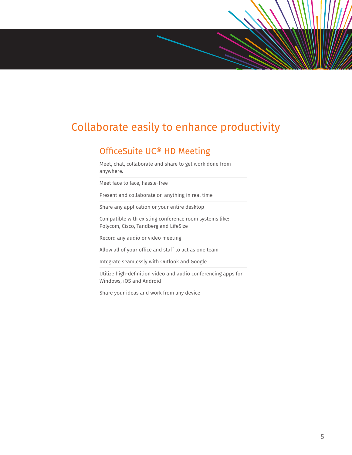## Collaborate easily to enhance productivity

#### OfficeSuite UC® HD Meeting

Meet, chat, collaborate and share to get work done from anywhere.

Meet face to face, hassle-free

Present and collaborate on anything in real time

Share any application or your entire desktop

Compatible with existing conference room systems like: Polycom, Cisco, Tandberg and LifeSize

Record any audio or video meeting

Allow all of your office and staff to act as one team

Integrate seamlessly with Outlook and Google

Utilize high-definition video and audio conferencing apps for Windows, iOS and Android

Share your ideas and work from any device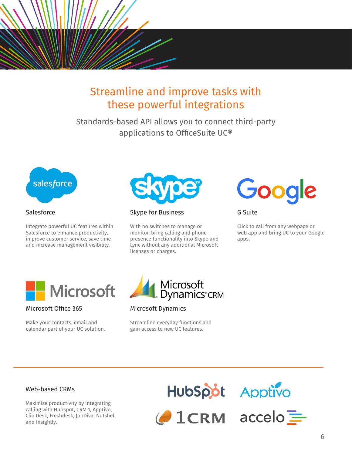

# Streamline and improve tasks with these powerful integrations

Standards-based API allows you to connect third-party applications to OfficeSuite UC®



#### **Salesforce**

Integrate powerful UC features within Salesforce to enhance productivity, improve customer service, save time and increase management visibility.



Skype for Business

With no switches to manage or monitor, bring calling and phone presence functionality into Skype and Lync without any additional Microsoft licenses or charges.



G Suite

Click to call from any webpage or web app and bring UC to your Google apps.



#### Microsoft Office 365

Make your contacts, email and calendar part of your UC solution.



#### Microsoft Dynamics

Streamline everyday functions and gain access to new UC features.

#### Web-based CRMs

Maximize productivity by integrating calling with Hubspot, CRM 1, Apptivo, Clio Desk, Freshdesk, JobDiva, Nutshell and Insightly.

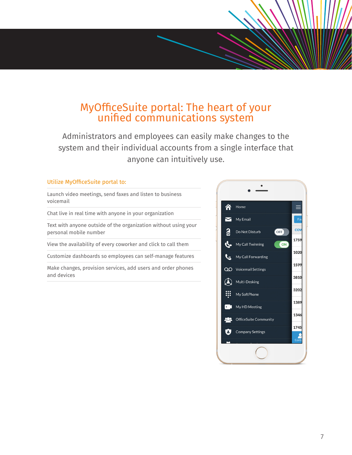# MyOfficeSuite portal: The heart of your unified communications system

Administrators and employees can easily make changes to the system and their individual accounts from a single interface that anyone can intuitively use.

#### Utilize MyOfficeSuite portal to:

Launch video meetings, send faxes and listen to business voicemail

Chat live in real time with anyone in your organization

Text with anyone outside of the organization without using your personal mobile number

View the availability of every coworker and click to call them

Customize dashboards so employees can self-manage features

Make changes, provision services, add users and order phones and devices

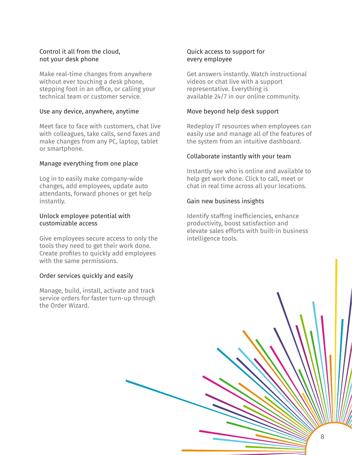#### Control it all from the cloud, not your desk phone

Make real-time changes from anywhere without ever touching a desk phone, stepping foot in an office, or calling your technical team or customer service.

#### Use any device, anywhere, anytime

Meet face to face with customers, chat live with colleagues, take calls, send faxes and make changes from any PC, laptop, tablet or smartphone.

#### Manage everything from one place

Log in to easily make company-wide changes, add employees, update auto attendants, forward phones or get help instantly.

#### Unlock employee potential with customizable access

Give employees secure access to only the tools they need to get their work done. Create profiles to quickly add employees with the same permissions.

#### Order services quickly and easily

Manage, build, install, activate and track service orders for faster turn-up through the Order Wizard.

#### Quick access to support for every employee

Get answers instantly. Watch instructional videos or chat live with a support representative. Everything is available 24/7 in our online community.

#### Move beyond help desk support

Redeploy IT resources when employees can easily use and manage all of the features of the system from an intuitive dashboard.

#### Collaborate instantly with your team

Instantly see who is online and available to help get work done. Click to call, meet or chat in real time across all your locations.

#### Gain new business insights

Identify staffing inefficiencies, enhance productivity, boost satisfaction and elevate sales efforts with built-in business intelligence tools.